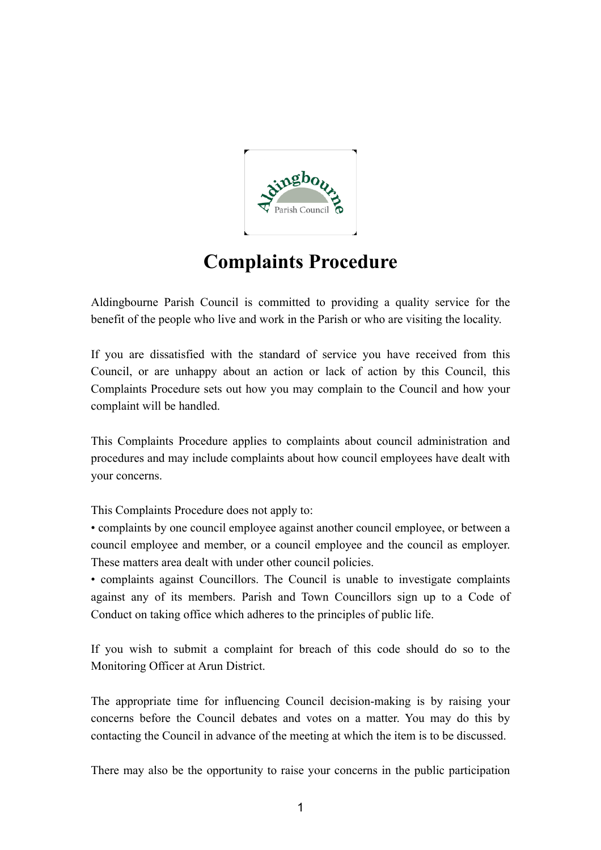

## **Complaints Procedure**

Aldingbourne Parish Council is committed to providing a quality service for the benefit of the people who live and work in the Parish or who are visiting the locality.

If you are dissatisfied with the standard of service you have received from this Council, or are unhappy about an action or lack of action by this Council, this Complaints Procedure sets out how you may complain to the Council and how your complaint will be handled.

This Complaints Procedure applies to complaints about council administration and procedures and may include complaints about how council employees have dealt with your concerns.

This Complaints Procedure does not apply to:

• complaints by one council employee against another council employee, or between a council employee and member, or a council employee and the council as employer. These matters area dealt with under other council policies.

• complaints against Councillors. The Council is unable to investigate complaints against any of its members. Parish and Town Councillors sign up to a Code of Conduct on taking office which adheres to the principles of public life.

If you wish to submit a complaint for breach of this code should do so to the Monitoring Officer at Arun District.

The appropriate time for influencing Council decision-making is by raising your concerns before the Council debates and votes on a matter. You may do this by contacting the Council in advance of the meeting at which the item is to be discussed.

There may also be the opportunity to raise your concerns in the public participation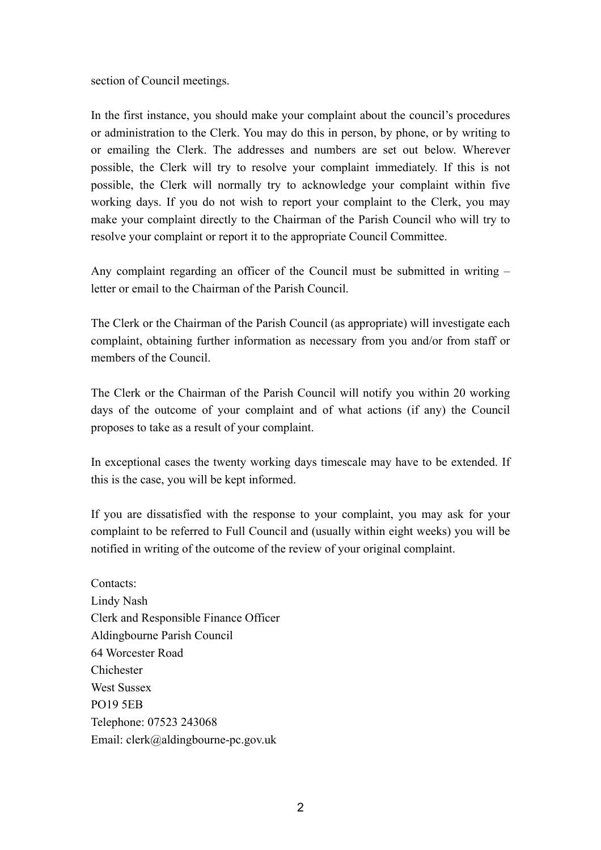section of Council meetings.

In the first instance, you should make your complaint about the council's procedures or administration to the Clerk. You may do this in person, by phone, or by writing to or emailing the Clerk. The addresses and numbers are set out below. Wherever possible, the Clerk will try to resolve your complaint immediately. If this is not possible, the Clerk will normally try to acknowledge your complaint within five working days. If you do not wish to report your complaint to the Clerk, you may make your complaint directly to the Chairman of the Parish Council who will try to resolve your complaint or report it to the appropriate Council Committee.

Any complaint regarding an officer of the Council must be submitted in writing – letter or email to the Chairman of the Parish Council.

The Clerk or the Chairman of the Parish Council (as appropriate) will investigate each complaint, obtaining further information as necessary from you and/or from staff or members of the Council.

The Clerk or the Chairman of the Parish Council will notify you within 20 working days of the outcome of your complaint and of what actions (if any) the Council proposes to take as a result of your complaint.

In exceptional cases the twenty working days timescale may have to be extended. If this is the case, you will be kept informed.

If you are dissatisfied with the response to your complaint, you may ask for your complaint to be referred to Full Council and (usually within eight weeks) you will be notified in writing of the outcome of the review of your original complaint.

Contacts: Lindy Nash Clerk and Responsible Finance Officer Aldingbourne Parish Council 64 Worcester Road Chichester West Sussex PO19 5EB Telephone: 07523 243068 Email: clerk@aldingbourne-pc.gov.uk